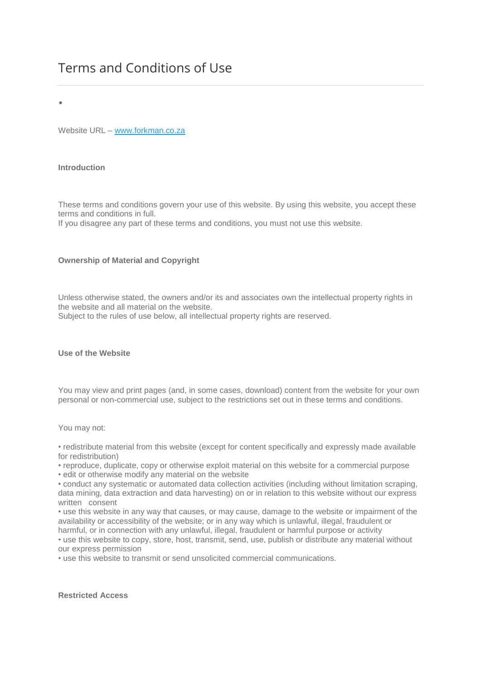# Terms and Conditions of Use

•

Website URL – [www.forkman.co.za](http://www.forkman.co.za/)

## **Introduction**

These terms and conditions govern your use of this website. By using this website, you accept these terms and conditions in full.

If you disagree any part of these terms and conditions, you must not use this website.

### **Ownership of Material and Copyright**

Unless otherwise stated, the owners and/or its and associates own the intellectual property rights in the website and all material on the website.

Subject to the rules of use below, all intellectual property rights are reserved.

#### **Use of the Website**

You may view and print pages (and, in some cases, download) content from the website for your own personal or non-commercial use, subject to the restrictions set out in these terms and conditions.

You may not:

• redistribute material from this website (except for content specifically and expressly made available for redistribution)

• reproduce, duplicate, copy or otherwise exploit material on this website for a commercial purpose • edit or otherwise modify any material on the website

• conduct any systematic or automated data collection activities (including without limitation scraping, data mining, data extraction and data harvesting) on or in relation to this website without our express written consent

• use this website in any way that causes, or may cause, damage to the website or impairment of the availability or accessibility of the website; or in any way which is unlawful, illegal, fraudulent or harmful, or in connection with any unlawful, illegal, fraudulent or harmful purpose or activity

• use this website to copy, store, host, transmit, send, use, publish or distribute any material without our express permission

• use this website to transmit or send unsolicited commercial communications.

**Restricted Access**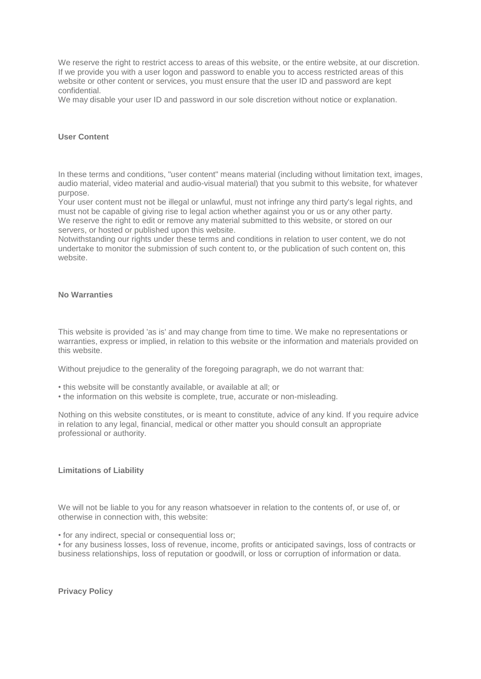We reserve the right to restrict access to areas of this website, or the entire website, at our discretion. If we provide you with a user logon and password to enable you to access restricted areas of this website or other content or services, you must ensure that the user ID and password are kept confidential.

We may disable your user ID and password in our sole discretion without notice or explanation.

#### **User Content**

In these terms and conditions, "user content" means material (including without limitation text, images, audio material, video material and audio-visual material) that you submit to this website, for whatever purpose.

Your user content must not be illegal or unlawful, must not infringe any third party's legal rights, and must not be capable of giving rise to legal action whether against you or us or any other party. We reserve the right to edit or remove any material submitted to this website, or stored on our servers, or hosted or published upon this website.

Notwithstanding our rights under these terms and conditions in relation to user content, we do not undertake to monitor the submission of such content to, or the publication of such content on, this website.

#### **No Warranties**

This website is provided 'as is' and may change from time to time. We make no representations or warranties, express or implied, in relation to this website or the information and materials provided on this website.

Without prejudice to the generality of the foregoing paragraph, we do not warrant that:

- this website will be constantly available, or available at all; or
- the information on this website is complete, true, accurate or non-misleading.

Nothing on this website constitutes, or is meant to constitute, advice of any kind. If you require advice in relation to any legal, financial, medical or other matter you should consult an appropriate professional or authority.

#### **Limitations of Liability**

We will not be liable to you for any reason whatsoever in relation to the contents of, or use of, or otherwise in connection with, this website:

• for any indirect, special or consequential loss or;

• for any business losses, loss of revenue, income, profits or anticipated savings, loss of contracts or business relationships, loss of reputation or goodwill, or loss or corruption of information or data.

**Privacy Policy**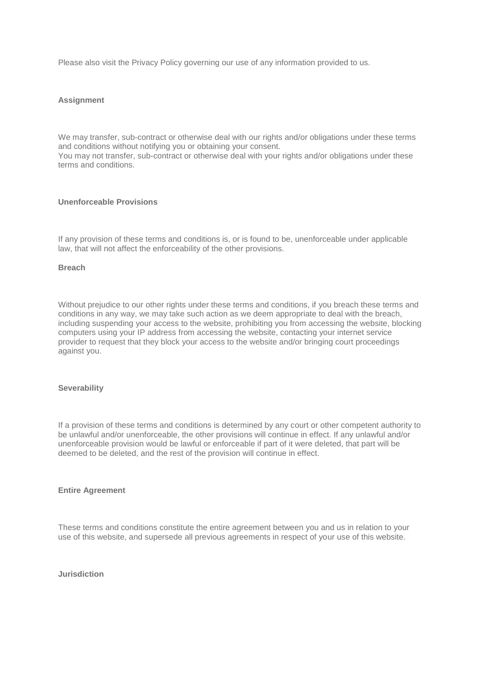Please also visit the Privacy Policy governing our use of any information provided to us.

#### **Assignment**

We may transfer, sub-contract or otherwise deal with our rights and/or obligations under these terms and conditions without notifying you or obtaining your consent.

You may not transfer, sub-contract or otherwise deal with your rights and/or obligations under these terms and conditions.

#### **Unenforceable Provisions**

If any provision of these terms and conditions is, or is found to be, unenforceable under applicable law, that will not affect the enforceability of the other provisions.

#### **Breach**

Without prejudice to our other rights under these terms and conditions, if you breach these terms and conditions in any way, we may take such action as we deem appropriate to deal with the breach, including suspending your access to the website, prohibiting you from accessing the website, blocking computers using your IP address from accessing the website, contacting your internet service provider to request that they block your access to the website and/or bringing court proceedings against you.

#### **Severability**

If a provision of these terms and conditions is determined by any court or other competent authority to be unlawful and/or unenforceable, the other provisions will continue in effect. If any unlawful and/or unenforceable provision would be lawful or enforceable if part of it were deleted, that part will be deemed to be deleted, and the rest of the provision will continue in effect.

#### **Entire Agreement**

These terms and conditions constitute the entire agreement between you and us in relation to your use of this website, and supersede all previous agreements in respect of your use of this website.

**Jurisdiction**